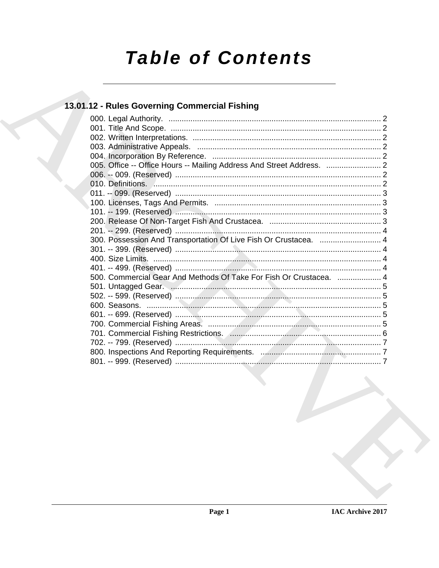# **Table of Contents**

## 13.01.12 - Rules Governing Commercial Fishing

| 005. Office -- Office Hours -- Mailing Address And Street Address.  2         |  |
|-------------------------------------------------------------------------------|--|
|                                                                               |  |
|                                                                               |  |
|                                                                               |  |
|                                                                               |  |
|                                                                               |  |
|                                                                               |  |
|                                                                               |  |
| 300. Possession And Transportation Of Live Fish Or Crustacea.  4              |  |
|                                                                               |  |
|                                                                               |  |
|                                                                               |  |
| 500. Commercial Gear And Methods Of Take For Fish Or Crustacea.  4            |  |
|                                                                               |  |
|                                                                               |  |
|                                                                               |  |
|                                                                               |  |
|                                                                               |  |
| 701. Commercial Fishing Restrictions. And Communications and Communications 6 |  |
|                                                                               |  |
|                                                                               |  |
|                                                                               |  |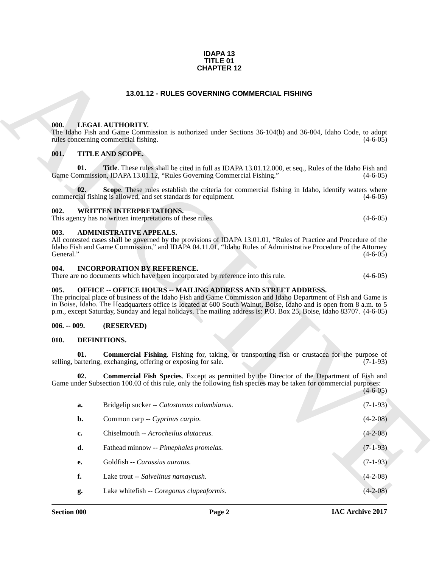#### **IDAPA 13 TITLE 01 CHAPTER 12**

#### **13.01.12 - RULES GOVERNING COMMERCIAL FISHING**

#### <span id="page-1-1"></span><span id="page-1-0"></span>**000. LEGAL AUTHORITY.**

#### <span id="page-1-2"></span>**001. TITLE AND SCOPE.**

#### <span id="page-1-3"></span>**002. WRITTEN INTERPRETATIONS.**

#### <span id="page-1-4"></span>**003. ADMINISTRATIVE APPEALS.**

#### <span id="page-1-5"></span>**004. INCORPORATION BY REFERENCE.**

#### <span id="page-1-6"></span>**005. OFFICE -- OFFICE HOURS -- MAILING ADDRESS AND STREET ADDRESS.**

#### <span id="page-1-7"></span>**006. -- 009. (RESERVED)**

#### <span id="page-1-11"></span><span id="page-1-10"></span><span id="page-1-9"></span><span id="page-1-8"></span>**010. DEFINITIONS.**

|                   |           | <b>CHAPTER 12</b>                                                                                                                                                                                                                                                                                                                                                                                                                   |                |
|-------------------|-----------|-------------------------------------------------------------------------------------------------------------------------------------------------------------------------------------------------------------------------------------------------------------------------------------------------------------------------------------------------------------------------------------------------------------------------------------|----------------|
|                   |           | 13.01.12 - RULES GOVERNING COMMERCIAL FISHING                                                                                                                                                                                                                                                                                                                                                                                       |                |
| 000.              |           | LEGAL AUTHORITY.<br>The Idaho Fish and Game Commission is authorized under Sections 36-104(b) and 36-804, Idaho Code, to adopt<br>rules concerning commercial fishing.                                                                                                                                                                                                                                                              | $(4-6-05)$     |
| 001.              | 01.       | TITLE AND SCOPE.<br><b>Title</b> . These rules shall be cited in full as IDAPA 13.01.12.000, et seq., Rules of the Idaho Fish and<br>Game Commission, IDAPA 13.01.12, "Rules Governing Commercial Fishing."                                                                                                                                                                                                                         | $(4-6-05)$     |
|                   | 02.       | Scope. These rules establish the criteria for commercial fishing in Idaho, identify waters where<br>commercial fishing is allowed, and set standards for equipment.                                                                                                                                                                                                                                                                 | $(4-6-05)$     |
| 002.              |           | <b>WRITTEN INTERPRETATIONS.</b><br>This agency has no written interpretations of these rules.                                                                                                                                                                                                                                                                                                                                       | $(4-6-05)$     |
| 003.<br>General." |           | <b>ADMINISTRATIVE APPEALS.</b><br>All contested cases shall be governed by the provisions of IDAPA 13.01.01, "Rules of Practice and Procedure of the<br>Idaho Fish and Game Commission," and IDAPA 04.11.01, "Idaho Rules of Administrative Procedure of the Attorney                                                                                                                                                               | $(4-6-05)$     |
| 004.              |           | <b>INCORPORATION BY REFERENCE.</b><br>There are no documents which have been incorporated by reference into this rule.                                                                                                                                                                                                                                                                                                              | $(4-6-05)$     |
| 005.              |           | <b>OFFICE -- OFFICE HOURS -- MAILING ADDRESS AND STREET ADDRESS.</b><br>The principal place of business of the Idaho Fish and Game Commission and Idaho Department of Fish and Game is<br>in Boise, Idaho. The Headquarters office is located at 600 South Walnut, Boise, Idaho and is open from 8 a.m. to 5<br>p.m., except Saturday, Sunday and legal holidays. The mailing address is: P.O. Box 25, Boise, Idaho 83707. (4-6-05) |                |
| $006. - 009.$     |           | (RESERVED)                                                                                                                                                                                                                                                                                                                                                                                                                          |                |
| 010.              |           | DEFINITIONS.                                                                                                                                                                                                                                                                                                                                                                                                                        |                |
|                   | 01.       | <b>Commercial Fishing.</b> Fishing for, taking, or transporting fish or crustacea for the purpose of<br>selling, bartering, exchanging, offering or exposing for sale.                                                                                                                                                                                                                                                              | $(7-1-93)$     |
|                   | 02.       | <b>Commercial Fish Species</b> . Except as permitted by the Director of the Department of Fish and<br>Game under Subsection 100.03 of this rule, only the following fish species may be taken for commercial purposes:                                                                                                                                                                                                              | $(4-6-05)$     |
|                   | a.        | Bridgelip sucker -- Catostomus columbianus.                                                                                                                                                                                                                                                                                                                                                                                         | $(7-1-93)$     |
|                   | b.        | Common carp -- Cyprinus carpio.                                                                                                                                                                                                                                                                                                                                                                                                     | $(4-2-08)$     |
|                   | c.        | Chiselmouth -- Acrocheilus alutaceus.                                                                                                                                                                                                                                                                                                                                                                                               | $(4-2-08)$     |
|                   | d.        | Fathead minnow -- Pimephales promelas.                                                                                                                                                                                                                                                                                                                                                                                              | $(7-1-93)$     |
|                   | <b>e.</b> | Goldfish -- Carassius auratus.                                                                                                                                                                                                                                                                                                                                                                                                      | $(7-1-93)$     |
|                   | f.        | Lake trout -- Salvelinus namaycush.                                                                                                                                                                                                                                                                                                                                                                                                 | $(4-2-08)$     |
|                   | g.        | Lake whitefish -- Coregonus clupeaformis.                                                                                                                                                                                                                                                                                                                                                                                           | $(4 - 2 - 08)$ |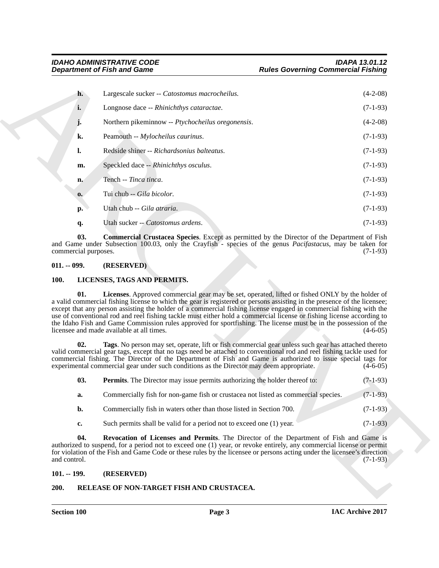|               |                             |                                                                                                                                                                                                                                                                                                                                                                                                                                                                                                                                                                                                                                             | <b>Rules Governing Commercial Fishing</b> |  |  |
|---------------|-----------------------------|---------------------------------------------------------------------------------------------------------------------------------------------------------------------------------------------------------------------------------------------------------------------------------------------------------------------------------------------------------------------------------------------------------------------------------------------------------------------------------------------------------------------------------------------------------------------------------------------------------------------------------------------|-------------------------------------------|--|--|
|               | h.                          | Largescale sucker -- Catostomus macrocheilus.                                                                                                                                                                                                                                                                                                                                                                                                                                                                                                                                                                                               | $(4-2-08)$                                |  |  |
|               | i.                          | Longnose dace -- Rhinichthys cataractae.                                                                                                                                                                                                                                                                                                                                                                                                                                                                                                                                                                                                    | $(7-1-93)$                                |  |  |
|               |                             | Northern pikeminnow -- Ptychocheilus oregonensis.                                                                                                                                                                                                                                                                                                                                                                                                                                                                                                                                                                                           | $(4-2-08)$                                |  |  |
|               | k.                          | Peamouth -- Mylocheilus caurinus.                                                                                                                                                                                                                                                                                                                                                                                                                                                                                                                                                                                                           | $(7-1-93)$                                |  |  |
|               | l.                          | Redside shiner -- Richardsonius balteatus.                                                                                                                                                                                                                                                                                                                                                                                                                                                                                                                                                                                                  | $(7-1-93)$                                |  |  |
|               | m.                          | Speckled dace -- Rhinichthys osculus.                                                                                                                                                                                                                                                                                                                                                                                                                                                                                                                                                                                                       | $(7-1-93)$                                |  |  |
|               | n.                          | Tench -- Tinca tinca.                                                                                                                                                                                                                                                                                                                                                                                                                                                                                                                                                                                                                       | $(7-1-93)$                                |  |  |
|               | 0.                          | Tui chub -- Gila bicolor.                                                                                                                                                                                                                                                                                                                                                                                                                                                                                                                                                                                                                   | $(7-1-93)$                                |  |  |
|               | p.                          | Utah chub -- Gila atraria.                                                                                                                                                                                                                                                                                                                                                                                                                                                                                                                                                                                                                  | $(7-1-93)$                                |  |  |
|               | q.                          | Utah sucker -- Catostomus ardens.                                                                                                                                                                                                                                                                                                                                                                                                                                                                                                                                                                                                           | $(7-1-93)$                                |  |  |
|               | 03.<br>commercial purposes. | <b>Commercial Crustacea Species.</b> Except as permitted by the Director of the Department of Fish<br>and Game under Subsection 100.03, only the Crayfish - species of the genus Pacifastacus, may be taken for                                                                                                                                                                                                                                                                                                                                                                                                                             | $(7-1-93)$                                |  |  |
| $011. - 099.$ |                             | (RESERVED)                                                                                                                                                                                                                                                                                                                                                                                                                                                                                                                                                                                                                                  |                                           |  |  |
| <b>100.</b>   |                             | LICENSES, TAGS AND PERMITS.                                                                                                                                                                                                                                                                                                                                                                                                                                                                                                                                                                                                                 |                                           |  |  |
|               | 01.                         | Licenses. Approved commercial gear may be set, operated, lifted or fished ONLY by the holder of<br>a valid commercial fishing license to which the gear is registered or persons assisting in the presence of the licensee;<br>except that any person assisting the holder of a commercial fishing license engaged in commercial fishing with the<br>use of conventional rod and reel fishing tackle must either hold a commercial license or fishing license according to<br>the Idaho Fish and Game Commission rules approved for sportfishing. The license must be in the possession of the<br>licensee and made available at all times. | $(4-6-05)$                                |  |  |
|               | 02.                         | Tags. No person may set, operate, lift or fish commercial gear unless such gear has attached thereto<br>valid commercial gear tags, except that no tags need be attached to conventional rod and reel fishing tackle used for<br>commercial fishing. The Director of the Department of Fish and Game is authorized to issue special tags for<br>experimental commercial gear under such conditions as the Director may deem appropriate.                                                                                                                                                                                                    | $(4-6-05)$                                |  |  |
|               | 03.                         | <b>Permits.</b> The Director may issue permits authorizing the holder thereof to:                                                                                                                                                                                                                                                                                                                                                                                                                                                                                                                                                           | $(7-1-93)$                                |  |  |
|               | a.                          | Commercially fish for non-game fish or crustacea not listed as commercial species.                                                                                                                                                                                                                                                                                                                                                                                                                                                                                                                                                          | $(7-1-93)$                                |  |  |
|               | b.                          | Commercially fish in waters other than those listed in Section 700.                                                                                                                                                                                                                                                                                                                                                                                                                                                                                                                                                                         | $(7-1-93)$                                |  |  |
|               | c.                          | Such permits shall be valid for a period not to exceed one (1) year.                                                                                                                                                                                                                                                                                                                                                                                                                                                                                                                                                                        | $(7-1-93)$                                |  |  |
| and control.  | 04.                         | Revocation of Licenses and Permits. The Director of the Department of Fish and Game is<br>authorized to suspend, for a period not to exceed one (1) year, or revoke entirely, any commercial license or permit<br>for violation of the Fish and Game Code or these rules by the licensee or persons acting under the licensee's direction                                                                                                                                                                                                                                                                                                   | $(7-1-93)$                                |  |  |
|               | $101. - 199.$               | (RESERVED)                                                                                                                                                                                                                                                                                                                                                                                                                                                                                                                                                                                                                                  |                                           |  |  |

#### <span id="page-2-4"></span><span id="page-2-0"></span>**011. -- 099. (RESERVED)**

#### <span id="page-2-6"></span><span id="page-2-5"></span><span id="page-2-1"></span>**100. LICENSES, TAGS AND PERMITS.**

<span id="page-2-9"></span><span id="page-2-7"></span>

| 03. | <b>Permits.</b> The Director may issue permits authorizing the holder thereof to: | $(7-1-93)$ |
|-----|-----------------------------------------------------------------------------------|------------|
|-----|-----------------------------------------------------------------------------------|------------|

- **a.** Commercially fish for non-game fish or crustacea not listed as commercial species. (7-1-93)
- **b.** Commercially fish in waters other than those listed in Section 700. (7-1-93)
- <span id="page-2-8"></span>**c.** Such permits shall be valid for a period not to exceed one (1) year. (7-1-93)

#### <span id="page-2-10"></span><span id="page-2-2"></span>**101. -- 199. (RESERVED)**

#### <span id="page-2-3"></span>**200. RELEASE OF NON-TARGET FISH AND CRUSTACEA.**

**Section 100 Page 3**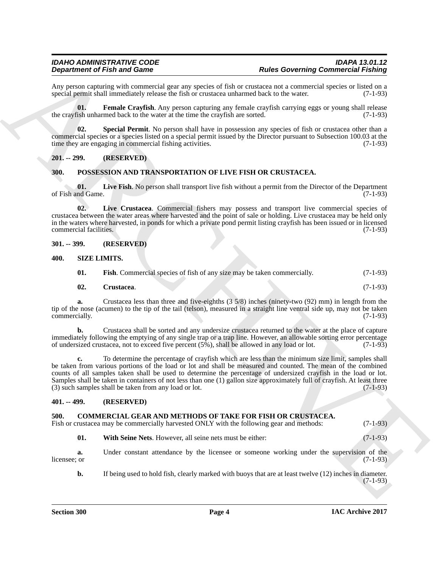Any person capturing with commercial gear any species of fish or crustacea not a commercial species or listed on a special permit shall immediately release the fish or crustacea unharmed back to the water. (7-1-93) special permit shall immediately release the fish or crustacea unharmed back to the water.

<span id="page-3-11"></span>**01.** Female Crayfish. Any person capturing any female crayfish carrying eggs or young shall release ish unharmed back to the water at the time the crayfish are sorted. (7-1-93) the crayfish unharmed back to the water at the time the crayfish are sorted.

<span id="page-3-12"></span>**02. Special Permit**. No person shall have in possession any species of fish or crustacea other than a commercial species or a species listed on a special permit issued by the Director pursuant to Subsection 100.03 at the time they are engaging in commercial fishing activities. (7-1-93)

#### <span id="page-3-0"></span>**201. -- 299. (RESERVED)**

#### <span id="page-3-8"></span><span id="page-3-1"></span>**300. POSSESSION AND TRANSPORTATION OF LIVE FISH OR CRUSTACEA.**

<span id="page-3-10"></span>**01.** Live Fish. No person shall transport live fish without a permit from the Director of the Department nd Game. (7-1-93) of Fish and Game.

<span id="page-3-9"></span>**02. Live Crustacea**. Commercial fishers may possess and transport live commercial species of crustacea between the water areas where harvested and the point of sale or holding. Live crustacea may be held only in the waters where harvested, in ponds for which a private pond permit listing crayfish has been issued or in licensed commercial facilities. (7-1-93)

#### <span id="page-3-2"></span>**301. -- 399. (RESERVED)**

#### <span id="page-3-3"></span>**400. SIZE LIMITS.**

<span id="page-3-15"></span><span id="page-3-13"></span>

| 01. |  | <b>Fish.</b> Commercial species of fish of any size may be taken commercially. | $(7-1-93)$ |
|-----|--|--------------------------------------------------------------------------------|------------|
|-----|--|--------------------------------------------------------------------------------|------------|

#### <span id="page-3-14"></span>**02. Crustacea**. (7-1-93)

**a.** Crustacea less than three and five-eighths (3 5/8) inches (ninety-two (92) mm) in length from the tip of the nose (acumen) to the tip of the tail (telson), measured in a straight line ventral side up, may not be taken commercially. (7-1-93) commercially.

**b.** Crustacea shall be sorted and any undersize crustacea returned to the water at the place of capture immediately following the emptying of any single trap or a trap line. However, an allowable sorting error percentage of undersized crustacea, not to exceed five percent (5%), shall be allowed in any load or lot. (7-1-93) of undersized crustacea, not to exceed five percent (5%), shall be allowed in any load or lot.

**Dependent of Fidurity and Construction** and the state Constraint of Euler Constraint Construction (Figurity 2011)<br>
Ann process construction of the state of the constraints of the state of the state of the state of the st **c.** To determine the percentage of crayfish which are less than the minimum size limit, samples shall be taken from various portions of the load or lot and shall be measured and counted. The mean of the combined counts of all samples taken shall be used to determine the percentage of undersized crayfish in the load or lot. Samples shall be taken in containers of not less than one (1) gallon size approximately full of crayfish. At least three (3) such samples shall be taken from any load or lot. (7-1-93)

#### <span id="page-3-6"></span><span id="page-3-4"></span>**401. -- 499. (RESERVED)**

#### <span id="page-3-5"></span>**500. COMMERCIAL GEAR AND METHODS OF TAKE FOR FISH OR CRUSTACEA.**

| Fish or crustacea may be commercially harvested ONLY with the following gear and methods:<br>$(7-1-93)$ |  |  |  |
|---------------------------------------------------------------------------------------------------------|--|--|--|
|---------------------------------------------------------------------------------------------------------|--|--|--|

<span id="page-3-7"></span>**01. With Seine Nets**. However, all seine nets must be either: (7-1-93)

**a.** Under constant attendance by the licensee or someone working under the supervision of the licensee: or (7-1-93) licensee; or  $(7-1-93)$ 

**b.** If being used to hold fish, clearly marked with buoys that are at least twelve (12) inches in diameter. (7-1-93)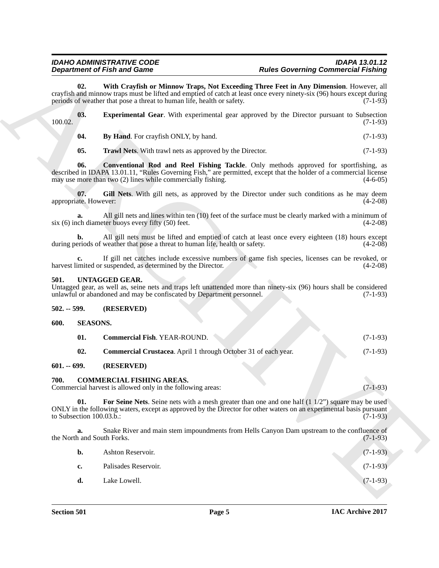### <span id="page-4-12"></span>*IDAHO ADMINISTRATIVE CODE IDAPA 13.01.12 Rules Governing Commercial Fishing*

<span id="page-4-11"></span><span id="page-4-10"></span><span id="page-4-9"></span><span id="page-4-8"></span><span id="page-4-7"></span>

|         |  |  | <b>Experimental Gear.</b> With experimental gear approved by the Director pursuant to Subsection |  |  |  |            |
|---------|--|--|--------------------------------------------------------------------------------------------------|--|--|--|------------|
| 100.02. |  |  |                                                                                                  |  |  |  | $(7-1-93)$ |
|         |  |  |                                                                                                  |  |  |  |            |

#### <span id="page-4-16"></span><span id="page-4-0"></span>**501. UNTAGGED GEAR.**

#### <span id="page-4-2"></span><span id="page-4-1"></span>**502. -- 599. (RESERVED)**

<span id="page-4-15"></span><span id="page-4-14"></span><span id="page-4-13"></span>

| 01. | <b>Commercial Fish. YEAR-ROUND.</b>                            | $(7-1-93)$ |
|-----|----------------------------------------------------------------|------------|
| 02. | Commercial Crustacea. April 1 through October 31 of each year. | $(7-1-93)$ |

#### <span id="page-4-3"></span>**601. -- 699. (RESERVED)**

#### <span id="page-4-6"></span><span id="page-4-5"></span><span id="page-4-4"></span>**700. COMMERCIAL FISHING AREAS.**

|               |                                               | <b>Department of Fish and Game</b>                                                                                                                                                                                                                                                        | <b>Rules Governing Commercial Fishing</b> |                                        |
|---------------|-----------------------------------------------|-------------------------------------------------------------------------------------------------------------------------------------------------------------------------------------------------------------------------------------------------------------------------------------------|-------------------------------------------|----------------------------------------|
|               | 02.                                           | With Crayfish or Minnow Traps, Not Exceeding Three Feet in Any Dimension. However, all<br>crayfish and minnow traps must be lifted and emptied of catch at least once every ninety-six (96) hours except during<br>periods of weather that pose a threat to human life, health or safety. |                                           | $(7-1-93)$                             |
| 100.02.       | 03.                                           | <b>Experimental Gear.</b> With experimental gear approved by the Director pursuant to Subsection                                                                                                                                                                                          |                                           | $(7-1-93)$                             |
|               | 04.                                           | By Hand. For crayfish ONLY, by hand.                                                                                                                                                                                                                                                      |                                           | $(7-1-93)$                             |
|               | 05.                                           | Trawl Nets. With trawl nets as approved by the Director.                                                                                                                                                                                                                                  |                                           | $(7-1-93)$                             |
|               | 06.                                           | <b>Conventional Rod and Reel Fishing Tackle.</b> Only methods approved for sportfishing, as<br>described in IDAPA 13.01.11, "Rules Governing Fish," are permitted, except that the holder of a commercial license<br>may use more than two (2) lines while commercially fishing.          |                                           | $(4-6-05)$                             |
|               | 07.<br>appropriate. However:                  | Gill Nets. With gill nets, as approved by the Director under such conditions as he may deem                                                                                                                                                                                               |                                           | $(4-2-08)$                             |
|               | a.                                            | All gill nets and lines within ten (10) feet of the surface must be clearly marked with a minimum of<br>$s$ ix (6) inch diameter buoys every fifty (50) feet.                                                                                                                             |                                           | $(4-2-08)$                             |
|               | b.                                            | All gill nets must be lifted and emptied of catch at least once every eighteen (18) hours except<br>during periods of weather that pose a threat to human life, health or safety.                                                                                                         |                                           | $(4-2-08)$                             |
|               |                                               | If gill net catches include excessive numbers of game fish species, licenses can be revoked, or<br>harvest limited or suspended, as determined by the Director.                                                                                                                           |                                           | $(4-2-08)$                             |
| 501.          |                                               | UNTAGGED GEAR.<br>Untagged gear, as well as, seine nets and traps left unattended more than ninety-six (96) hours shall be considered<br>unlawful or abandoned and may be confiscated by Department personnel.                                                                            |                                           | $(7-1-93)$                             |
| $502. - 599.$ |                                               | (RESERVED)                                                                                                                                                                                                                                                                                |                                           |                                        |
| 600.          | <b>SEASONS.</b>                               |                                                                                                                                                                                                                                                                                           |                                           |                                        |
|               | 01.                                           | Commercial Fish. YEAR-ROUND.                                                                                                                                                                                                                                                              |                                           | $(7-1-93)$                             |
|               | 02.                                           | Commercial Crustacea. April 1 through October 31 of each year.                                                                                                                                                                                                                            |                                           | $(7-1-93)$                             |
| $601. - 699.$ |                                               | (RESERVED)                                                                                                                                                                                                                                                                                |                                           |                                        |
| 700.          |                                               | <b>COMMERCIAL FISHING AREAS.</b><br>Commercial harvest is allowed only in the following areas:                                                                                                                                                                                            |                                           | $(7-1-93)$                             |
|               | 01.<br>to Subsection $100.03.\overline{b}$ .: | For Seine Nets. Seine nets with a mesh greater than one and one half $(1\ 1/2)$ square may be used<br>ONLY in the following waters, except as approved by the Director for other waters on an experimental basis pursuant                                                                 |                                           | $(7-1-93)$                             |
|               |                                               |                                                                                                                                                                                                                                                                                           |                                           |                                        |
|               | a.                                            | Snake River and main stem impoundments from Hells Canyon Dam upstream to the confluence of<br>the North and South Forks.                                                                                                                                                                  |                                           |                                        |
|               | b.                                            | Ashton Reservoir.                                                                                                                                                                                                                                                                         |                                           |                                        |
|               | c.                                            | Palisades Reservoir.                                                                                                                                                                                                                                                                      |                                           | $(7-1-93)$<br>$(7-1-93)$<br>$(7-1-93)$ |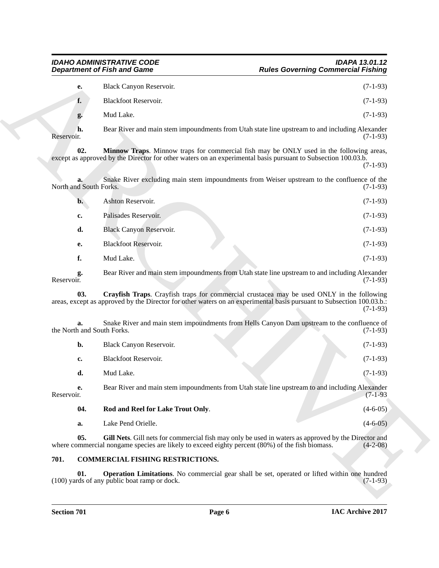<span id="page-5-2"></span>

| е.             | Black Canyon Reservoir. | $(7-1-93)$ |
|----------------|-------------------------|------------|
| f.             | Blackfoot Reservoir.    | $(7-1-93)$ |
| $\mathbf{Q}$ . | Mud Lake.               | $(7-1-93)$ |

|                                  | <b>Department of Fish and Game</b>                                                              | <b>Rules Governing Commercial Fishing</b>                                                                                                                                                                                        |
|----------------------------------|-------------------------------------------------------------------------------------------------|----------------------------------------------------------------------------------------------------------------------------------------------------------------------------------------------------------------------------------|
| e.                               | Black Canyon Reservoir.                                                                         | $(7-1-93)$                                                                                                                                                                                                                       |
| f.                               | Blackfoot Reservoir.                                                                            | $(7-1-93)$                                                                                                                                                                                                                       |
| g.                               | Mud Lake.                                                                                       | $(7-1-93)$                                                                                                                                                                                                                       |
| h.<br>Reservoir.                 |                                                                                                 | Bear River and main stem impoundments from Utah state line upstream to and including Alexander<br>$(7-1-93)$                                                                                                                     |
| 02.                              |                                                                                                 | Minnow Traps. Minnow traps for commercial fish may be ONLY used in the following areas,<br>except as approved by the Director for other waters on an experimental basis pursuant to Subsection 100.03.b.<br>$(7-1-93)$           |
| North and South Forks.           |                                                                                                 | Snake River excluding main stem impoundments from Weiser upstream to the confluence of the<br>$(7-1-93)$                                                                                                                         |
| $\mathbf{b}$ .                   | Ashton Reservoir.                                                                               | $(7-1-93)$                                                                                                                                                                                                                       |
| c.                               | Palisades Reservoir.                                                                            | $(7-1-93)$                                                                                                                                                                                                                       |
| d.                               | <b>Black Canyon Reservoir.</b>                                                                  | $(7-1-93)$                                                                                                                                                                                                                       |
| е.                               | <b>Blackfoot Reservoir.</b>                                                                     | $(7-1-93)$                                                                                                                                                                                                                       |
| f.                               | Mud Lake.                                                                                       | $(7-1-93)$                                                                                                                                                                                                                       |
| g.<br>Reservoir.                 |                                                                                                 | Bear River and main stem impoundments from Utah state line upstream to and including Alexander<br>$(7-1-93)$                                                                                                                     |
| 03.                              |                                                                                                 | Crayfish Traps. Crayfish traps for commercial crustacea may be used ONLY in the following<br>areas, except as approved by the Director for other waters on an experimental basis pursuant to Subsection 100.03.b.:<br>$(7-1-93)$ |
| a.<br>the North and South Forks. |                                                                                                 | Snake River and main stem impoundments from Hells Canyon Dam upstream to the confluence of<br>$(7-1-93)$                                                                                                                         |
| b.                               | Black Canyon Reservoir.                                                                         | $(7-1-93)$                                                                                                                                                                                                                       |
| c.                               | Blackfoot Reservoir.                                                                            | $(7-1-93)$                                                                                                                                                                                                                       |
| d.                               | Mud Lake.                                                                                       | $(7-1-93)$                                                                                                                                                                                                                       |
| е.<br>Reservoir.                 |                                                                                                 | Bear River and main stem impoundments from Utah state line upstream to and including Alexander<br>$(7-1-93)$                                                                                                                     |
| 04.                              | Rod and Reel for Lake Trout Only.                                                               | $(4-6-05)$                                                                                                                                                                                                                       |
| a.                               | Lake Pend Orielle.                                                                              | $(4-6-05)$                                                                                                                                                                                                                       |
| 05.                              | where commercial nongame species are likely to exceed eighty percent (80%) of the fish biomass. | Gill Nets. Gill nets for commercial fish may only be used in waters as approved by the Director and<br>$(4-2-08)$                                                                                                                |
| 701.                             | COMMERCIAL FISHING RESTRICTIONS.                                                                |                                                                                                                                                                                                                                  |
| 01.                              |                                                                                                 | Operation Limitations. No commercial gear shall be set, operated or lifted within one hundred                                                                                                                                    |

<span id="page-5-6"></span>

|            | b.  | Black Canyon Reservoir.                                                                        | $(7-1-93)$ |
|------------|-----|------------------------------------------------------------------------------------------------|------------|
|            | c.  | <b>Blackfoot Reservoir.</b>                                                                    | $(7-1-93)$ |
|            | d.  | Mud Lake.                                                                                      | $(7-1-93)$ |
| Reservoir. | е.  | Bear River and main stem impoundments from Utah state line upstream to and including Alexander | $(7-1-93)$ |
|            | 04. | Rod and Reel for Lake Trout Only.                                                              | $(4-6-05)$ |

#### <span id="page-5-5"></span><span id="page-5-4"></span><span id="page-5-3"></span><span id="page-5-1"></span><span id="page-5-0"></span>**701. COMMERCIAL FISHING RESTRICTIONS.**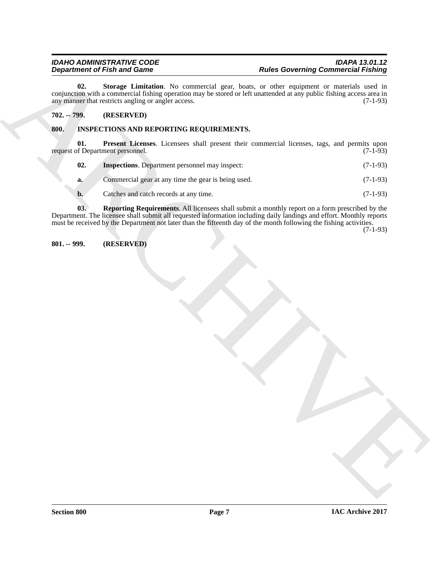**Expanding of Fish and Same Constraints November 2018**<br>
And the subsection of Fish and Same Construction of the subsection of the subsection of the property in the subsection of the subsection of the subsection of the sub **02. Storage Limitation**. No commercial gear, boats, or other equipment or materials used in conjunction with a commercial fishing operation may be stored or left unattended at any public fishing access area in any manner that restricts angling or angler access. (7-1-93) any manner that restricts angling or angler access.

#### <span id="page-6-3"></span><span id="page-6-0"></span>**702. -- 799. (RESERVED)**

#### <span id="page-6-4"></span><span id="page-6-1"></span>**800. INSPECTIONS AND REPORTING REQUIREMENTS.**

**01. Present Licenses**. Licensees shall present their commercial licenses, tags, and permits upon of Department personnel. (7-1-93) request of Department personnel.

<span id="page-6-6"></span><span id="page-6-5"></span>

| 02. | <b>Inspections.</b> Department personnel may inspect: |  |  |  |  | $(7-1-93)$ |
|-----|-------------------------------------------------------|--|--|--|--|------------|
|     |                                                       |  |  |  |  |            |

**a.** Commercial gear at any time the gear is being used. (7-1-93)

<span id="page-6-7"></span>**b.** Catches and catch records at any time. (7-1-93)

**03. Reporting Requirements**. All licensees shall submit a monthly report on a form prescribed by the Department. The licensee shall submit all requested information including daily landings and effort. Monthly reports must be received by the Department not later than the fifteenth day of the month following the fishing activities.

(7-1-93)

#### <span id="page-6-2"></span>**801. -- 999. (RESERVED)**